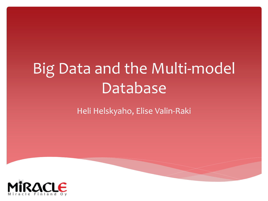# Big Data and the Multi-model Database

### Heli Helskyaho, Elise Valin-Raki

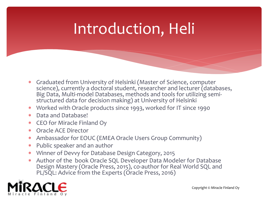# Introduction, Heli

- Graduated from University of Helsinki (Master of Science, computer science), currently a doctoral student, researcher and lecturer (databases, Big Data, Multi-model Databases, methods and tools for utilizing semistructured data for decision making) at University of Helsinki
- Worked with Oracle products since 1993, worked for IT since 1990
- Data and Database!
- CEO for Miracle Finland Oy
- Oracle ACE Director
- Ambassador for EOUC (EMEA Oracle Users Group Community)
- Public speaker and an author
- Winner of Devvy for Database Design Category, 2015
- Author of the book Oracle SQL Developer Data Modeler for Database Design Mastery (Oracle Press, 2015), co-author for Real World SQL and PL/SQL: Advice from the Experts (Oracle Press, 2016)

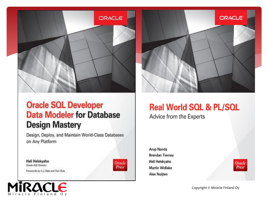

### **Oracle SQL Developer Data Modeler for Database Design Mastery**

Design, Deploy, and Maintain World-Class Databases on Any Platform

Heli Helskyaho **Oracle ACE Director** 

Forewords by C.J. Date and Tom Kyte





### **Real World SQL & PL/SQL**

Advice from the Experts

**Arup Nanda Brendan Tierney** Heli Helskyaho **Martin Widlake Alex Nuijten** 



Copyright © Miracle Finland Oy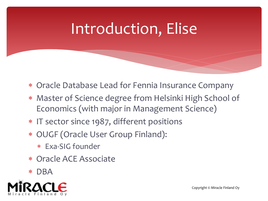# Introduction, Elise

- Oracle Database Lead for Fennia Insurance Company
- Master of Science degree from Helsinki High School of Economics (with major in Management Science)
- \* IT sector since 1987, different positions
- OUGF (Oracle User Group Finland):
	- Exa-SIG founder
- Oracle ACE Associate
- DBA

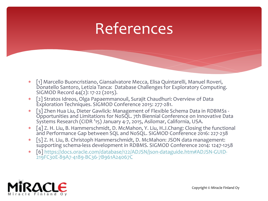### References

- [1] Marcello Buoncristiano, Giansalvatore Mecca, Elisa Quintarelli, Manuel Roveri, Donatello Santoro, Letizia Tanca: Database Challenges for Exploratory Computing. SIGMOD Record 44(2): 17-22 (2015).
- [2] Stratos Idreos, Olga Papaemmanouil, Surajit Chaudhuri: Overview of Data Exploration Techniques. SIGMOD Conference 2015: 277-281.
- [3] Zhen Hua Liu, Dieter Gawlick: Management of Flexible Schema Data in RDBMSs Opportunities and Limitations for NoSQL. 7th Biennial Conference on Innovative Data Systems Research (CIDR '15) January 4-7, 2015, Asilomar, California, USA.
- [4] Z. H. Liu, B. Hammerschmidt, D. McMahon, Y. Liu, H.J.Chang: Closing the functional and Performance Gap between SQL and NoSQL. SIGMOD Conference 2016: 227-238
- [5] Z. H. Liu, B. Christoph Hammerschmidt, D. McMahon: JSON data management: supporting schema-less development in RDBMS. SIGMOD Conference 2014: 1247-1258
- [\[6\] https://docs.oracle.com/database/122/ADJSN/json-dataguide.htm#ADJSN-GUID-](https://docs.oracle.com/database/122/ADJSN/json-dataguide.htm#ADJSN-GUID-219FC30E-89A7-4189-BC36-7B961A24067C)219FC30E-89A7-4189-BC36-7B961A24067C

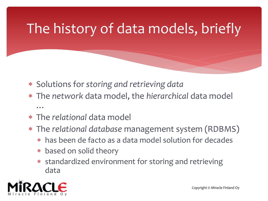## The history of data models, briefly

- Solutions for *storing and retrieving data*
- The *network* data model, the *hierarchical* data model …
- The *relational* data model
- The *relational database* management system (RDBMS)
	- has been de facto as a data model solution for decades
	- based on solid theory
	- standardized environment for storing and retrieving data

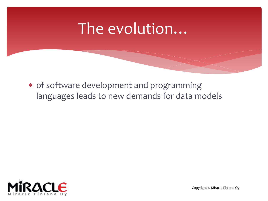### The evolution…

 of software development and programming languages leads to new demands for data models



Copyright © Miracle Finland Oy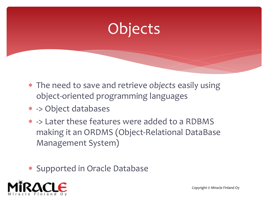# Objects

- The need to save and retrieve *objects* easily using object-oriented programming languages
- -> Object databases
- -> Later these features were added to a RDBMS making it an ORDMS (Object-Relational DataBase Management System)
- \* Supported in Oracle Database

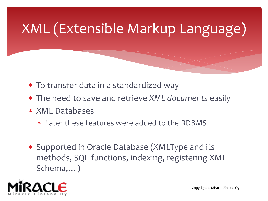# XML (Extensible Markup Language)

- To transfer data in a standardized way
- The need to save and retrieve *XML documents* easily
- XML Databases
	- Later these features were added to the RDBMS
- Supported in Oracle Database (XMLType and its methods, SQL functions, indexing, registering XML Schema,…)

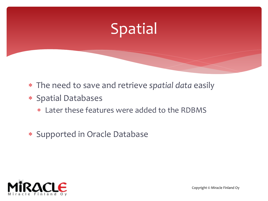

- The need to save and retrieve *spatial data* easily
- Spatial Databases
	- Later these features were added to the RDBMS
- \* Supported in Oracle Database

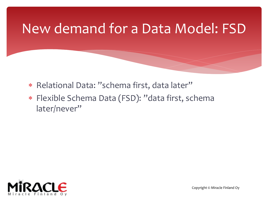### New demand for a Data Model: FSD

- \* Relational Data: "schema first, data later"
- Flexible Schema Data (FSD): "data first, schema later/never"

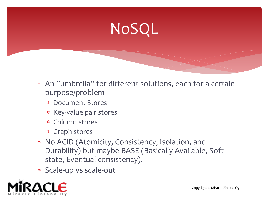# NoSQL

- An "umbrella" for different solutions, each for a certain purpose/problem
	- Document Stores
	- \* Key-value pair stores
	- Column stores
	- Graph stores
- No ACID (Atomicity, Consistency, Isolation, and Durability) but maybe BASE (Basically Available, Soft state, Eventual consistency).
- Scale-up vs scale-out

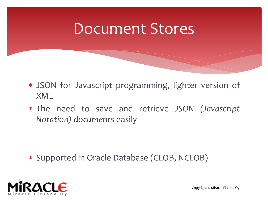### Document Stores

- JSON for Javascript programming, lighter version of XML
- The need to save and retrieve *JSON (Javascript Notation) documents* easily

Supported in Oracle Database (CLOB, NCLOB)

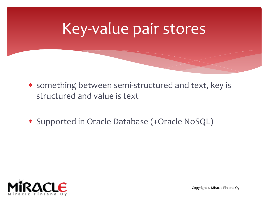## Key-value pair stores

 something between semi-structured and text, key is structured and value is text

Supported in Oracle Database (+Oracle NoSQL)

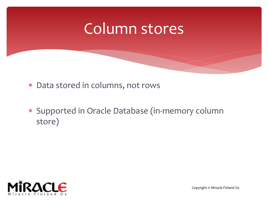### Column stores

- Data stored in columns, not rows
- Supported in Oracle Database (in-memory column store)

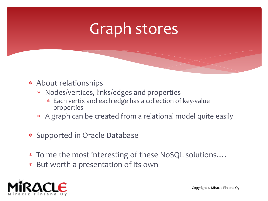## Graph stores

- About relationships
	- Nodes/vertices, links/edges and properties
		- Each vertix and each edge has a collection of key-value properties
	- A graph can be created from a relational model quite easily
- Supported in Oracle Database
- To me the most interesting of these NoSQL solutions….
- But worth a presentation of its own

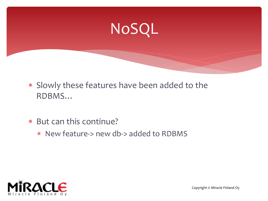# NoSQL

- Slowly these features have been added to the RDBMS…
- But can this continue?
	- New feature-> new db-> added to RDBMS

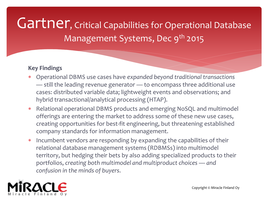### Gartner, Critical Capabilities for Operational Database Management Systems, Dec 9<sup>th</sup> 2015

#### **Key Findings**

- Operational DBMS use cases have *expanded beyond traditional transactions* — still the leading revenue generator — to encompass three additional use cases: distributed variable data; lightweight events and observations; and hybrid transactional/analytical processing (HTAP).
- Relational operational DBMS products and emerging NoSQL and multimodel offerings are entering the market to address some of these new use cases, creating opportunities for best-fit engineering, but threatening established company standards for information management.
- \* Incumbent vendors are responding by expanding the capabilities of their relational database management systems (RDBMSs) into multimodel territory, but hedging their bets by also adding specialized products to their portfolios, *creating both multimodel and multiproduct choices — and confusion in the minds of buyers*.

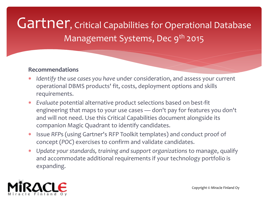### Gartner, Critical Capabilities for Operational Database Management Systems, Dec 9<sup>th</sup> 2015

#### **Recommendations**

- *Identify the use cases you have* under consideration, and assess your current operational DBMS products' fit, costs, deployment options and skills requirements.
- *Evaluate* potential alternative product selections based on best-fit engineering that maps to your use cases — don't pay for features you don't and will not need. Use this Critical Capabilities document alongside its companion Magic Quadrant to identify candidates.
- Issue *RFP*s (using Gartner's RFP Toolkit templates) and conduct proof of concept (*POC*) exercises to confirm and validate candidates.
- *Update your standards, training and support organizations* to manage, qualify and accommodate additional requirements if your technology portfolio is expanding.

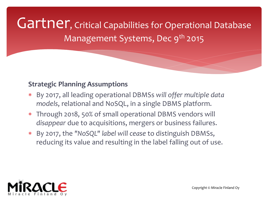Gartner, Critical Capabilities for Operational Database Management Systems, Dec 9<sup>th</sup> 2015

#### **Strategic Planning Assumptions**

- By 2017, all leading operational DBMSs *will offer multiple data models*, relational and NoSQL, in a single DBMS platform.
- Through 2018, 50% of small operational DBMS vendors will *disappear* due to acquisitions, mergers or business failures.
- By 2017, the *"NoSQL" label will cease* to distinguish DBMSs, reducing its value and resulting in the label falling out of use.

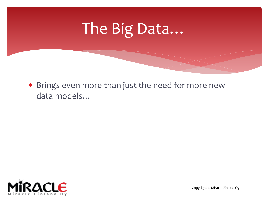# The Big Data…

 Brings even more than just the need for more new data models…



Copyright © Miracle Finland Oy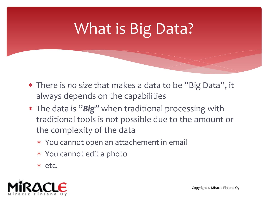# What is Big Data?

- There is *no size* that makes a data to be "Big Data", it always depends on the capabilities
- The data is "*Big"* when traditional processing with traditional tools is not possible due to the amount or the complexity of the data
	- You cannot open an attachement in email
	- You cannot edit a photo
	- etc.

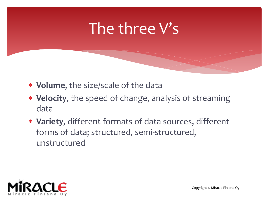### The three V's

- **Volume**, the size/scale of the data
- **Velocity**, the speed of change, analysis of streaming data
- **Variety**, different formats of data sources, different forms of data; structured, semi-structured, unstructured

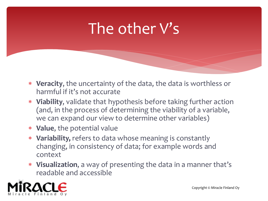## The other V's

- **Veracity**, the uncertainty of the data, the data is worthless or harmful if it's not accurate
- **Viability**, validate that hypothesis before taking further action (and, in the process of determining the viability of a variable, we can expand our view to determine other variables)
- **Value**, the potential value
- **Variability,** refers to data whose meaning is constantly changing, in consistency of data; for example words and context
- **Visualization**, a way of presenting the data in a manner that's readable and accessible

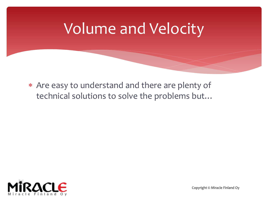### Volume and Velocity

 Are easy to understand and there are plenty of technical solutions to solve the problems but…



Copyright © Miracle Finland Oy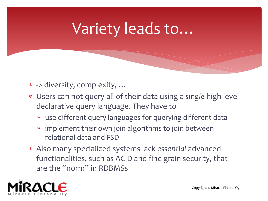# Variety leads to…

- -> diversity, complexity, …
- Users can not query all of their data using a *single* high level declarative query language. They have to
	- use different query languages for querying different data
	- implement their own join algorithms to join between relational data and FSD
- Also many specialized systems lack *essential* advanced functionalities, such as ACID and fine grain security, that are the "norm" in RDBMSs

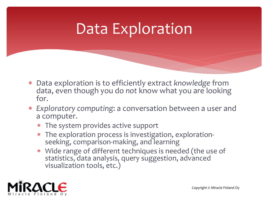# Data Exploration

- Data exploration is to efficiently extract *knowledge* from data, even though you do *not* know what you are looking for.
- *Exploratory computing*: a conversation between a user and a computer.
	- The system provides active support
	- The exploration process is investigation, explorationseeking, comparison-making, and learning
	- Wide range of different techniques is needed (the use of statistics, data analysis, query suggestion, advanced visualization tools, etc.)

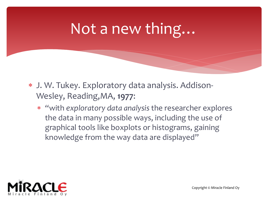## Not a new thing…

- J. W. Tukey. Exploratory data analysis. Addison-Wesley, Reading,MA, **1977**:
	- "with *exploratory data analysis* the researcher explores the data in many possible ways, including the use of graphical tools like boxplots or histograms, gaining knowledge from the way data are displayed"

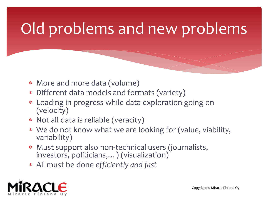# Old problems and new problems

- More and more data (volume)
- Different data models and formats (variety)
- Loading in progress while data exploration going on (velocity)
- Not all data is reliable (veracity)
- We do not know what we are looking for (value, viability, variability)
- Must support also non-technical users (journalists, investors, politicians,…) (visualization)
- All must be done *efficiently and fast*

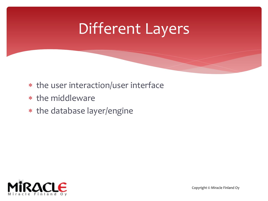## Different Layers

- the user interaction/user interface
- \* the middleware
- \* the database layer/engine

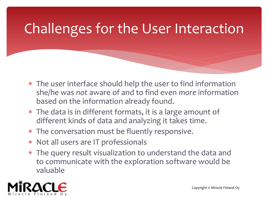### Challenges for the User Interaction

- The user interface should help the user to find information she/he was *not* aware of and to find even *more* information based on the information already found.
- The data is in different formats, it is a large amount of different kinds of data and analyzing it takes time.
- The conversation must be fluently responsive.
- Not all users are IT professionals
- The query result visualization to understand the data and to communicate with the exploration software would be valuable

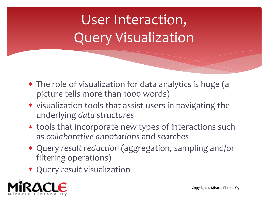# User Interaction, Query Visualization

- The role of visualization for data analytics is huge (a picture tells more than 1000 words)
- visualization tools that assist users in navigating the underlying *data structures*
- tools that incorporate new types of interactions such as *collaborative annotations* and *searches*
- Query *result reduction* (aggregation, sampling and/or filtering operations)
- Query *result* visualization

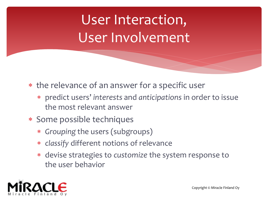# User Interaction, User Involvement

- the relevance of an answer for a specific user
	- predict users' *interests* and *anticipations* in order to issue the most relevant answer
- Some possible techniques
	- *Grouping* the users (subgroups)
	- *classify* different notions of relevance
	- devise strategies to *customize* the system response to the user behavior

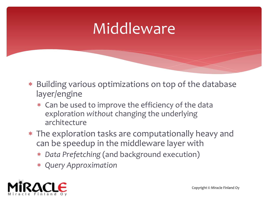## Middleware

- Building various optimizations on top of the database layer/engine
	- Can be used to improve the efficiency of the data exploration *without* changing the underlying architecture
- The exploration tasks are computationally heavy and can be speedup in the middleware layer with
	- *Data Prefetching* (and background execution)
	- *Query Approximation*

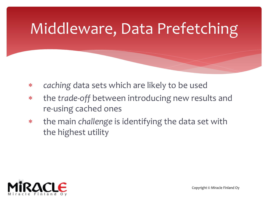# Middleware, Data Prefetching

- *caching* data sets which are likely to be used
- the *trade-off* between introducing new results and re-using cached ones
- the main *challenge* is identifying the data set with the highest utility

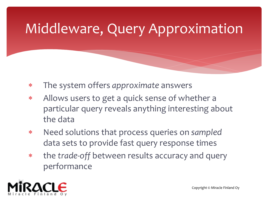### Middleware, Query Approximation

- The system offers *approximate* answers
- Allows users to get a quick sense of whether a particular query reveals anything interesting about the data
- Need solutions that process queries on *sampled* data sets to provide fast query response times
- the *trade-off* between results accuracy and query performance

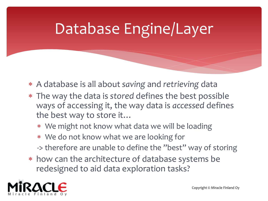# Database Engine/Layer

- A database is all about *saving* and *retrieving* data
- The way the data is *stored* defines the best possible ways of accessing it, the way data is *accessed* defines the best way to store it…
	- We might not know what data we will be loading
	- We do not know what we are looking for
	- -> therefore are unable to define the "best" way of storing
- how can the architecture of database systems be redesigned to aid data exploration tasks?

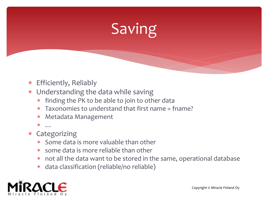# Saving

- Efficiently, Reliably
- Understanding the data while saving
	- finding the PK to be able to join to other data
	- Taxonomies to understand that first name = fname?
	- Metadata Management
	- …
- Categorizing
	- Some data is more valuable than other
	- some data is more reliable than other
	- not all the data want to be stored in the same, operational database
	- data classification (reliable/no reliable)

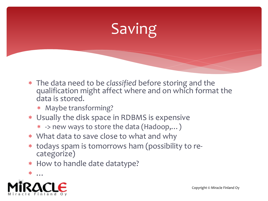# Saving

- The data need to be *classified* before storing and the qualification might affect where and on which format the data is stored.
	- Maybe transforming?
- Usually the disk space in RDBMS is expensive
	- -> new ways to store the data (Hadoop,…)
- What data to save close to what and why
- todays spam is tomorrows ham (possibility to recategorize)
- How to handle date datatype?

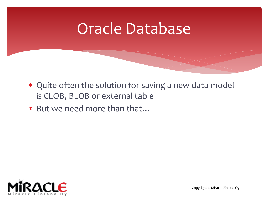#### Oracle Database

- Quite often the solution for saving a new data model is CLOB, BLOB or external table
- But we need more than that…

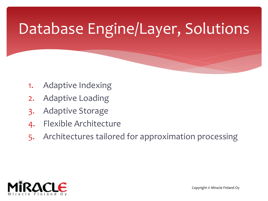# Database Engine/Layer, Solutions

- 1. Adaptive Indexing
- 2. Adaptive Loading
- 3. Adaptive Storage
- 4. Flexible Architecture
- 5. Architectures tailored for approximation processing

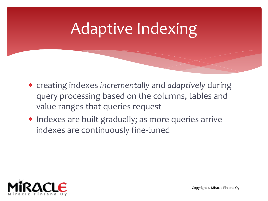## Adaptive Indexing

- creating indexes *incrementally* and *adaptively* during query processing based on the columns, tables and value ranges that queries request
- \* Indexes are built gradually; as more queries arrive indexes are continuously fine-tuned

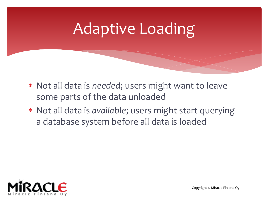## Adaptive Loading

- Not all data is *needed*; users might want to leave some parts of the data unloaded
- Not all data is *available*; users might start querying a database system before all data is loaded

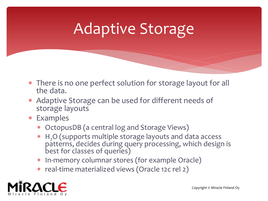## Adaptive Storage

- There is no one perfect solution for storage layout for all the data.
- Adaptive Storage can be used for different needs of storage layouts
- Examples
	- OctopusDB (a central log and Storage Views)
	- \* H<sub>2</sub>O (supports multiple storage layouts and data access patterns, decides during query processing, which design is best for classes of queries)
	- In-memory columnar stores (for example Oracle)
	- real-time materialized views (Oracle 12c rel 2)

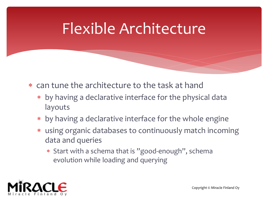#### Flexible Architecture

- can tune the architecture to the task at hand
	- by having a declarative interface for the physical data layouts
	- by having a declarative interface for the whole engine
	- using organic databases to continuously match incoming data and queries
		- Start with a schema that is "good-enough", schema evolution while loading and querying

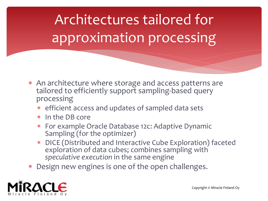Architectures tailored for approximation processing

- An architecture where storage and access patterns are tailored to efficiently support sampling-based query processing
	- efficient access and updates of sampled data sets
	- \* In the DB core
	- For example Oracle Database 12c: Adaptive Dynamic Sampling (for the optimizer)
	- DICE (Distributed and Interactive Cube Exploration) faceted exploration of data cubes; combines sampling with *speculative execution* in the same engine
- Design new engines is one of the open challenges.

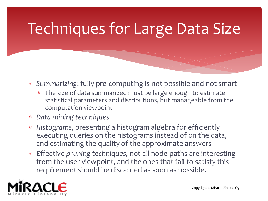# Techniques for Large Data Size

- *Summarizing*: fully pre-computing is not possible and not smart
	- The size of data summarized must be large enough to estimate statistical parameters and distributions, but manageable from the computation viewpoint
- *Data mining techniques*
- *Histograms*, presenting a histogram algebra for efficiently executing queries on the histograms instead of on the data, and estimating the quality of the approximate answers
- Effective *pruning techniques*, not all node-paths are interesting from the user viewpoint, and the ones that fail to satisfy this requirement should be discarded as soon as possible.

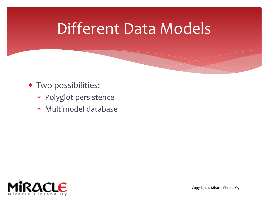#### Different Data Models

- Two possibilities:
	- Polyglot persistence
	- Multimodel database

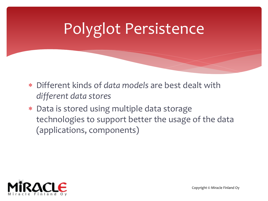# Polyglot Persistence

- Different kinds of *data models* are best dealt with *different data stores*
- Data is stored using multiple data storage technologies to support better the usage of the data (applications, components)

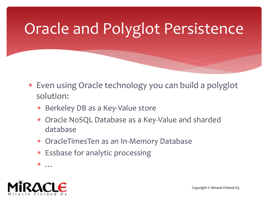# Oracle and Polyglot Persistence

- Even using Oracle technology you can build a polyglot solution:
	- \* Berkeley DB as a Key-Value store
	- Oracle NoSQL Database as a Key-Value and sharded database
	- OracleTimesTen as an In-Memory Database
	- Essbase for analytic processing
	- …

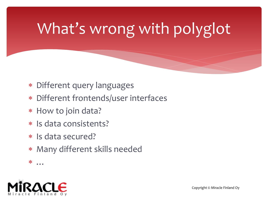# What's wrong with polyglot

- Different query languages
- Different frontends/user interfaces
- \* How to join data?
- Is data consistents?
- \* Is data secured?
- Many different skills needed
- $\ast$

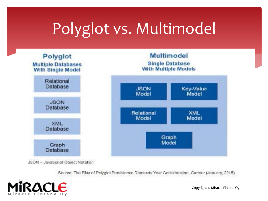# Polyglot vs. Multimodel



JSON = JavaScript Object Notation

Source: The Rise of Polyglot Persistence Demands Your Consideration, Gartner (January, 2015)



Copyright © Miracle Finland Oy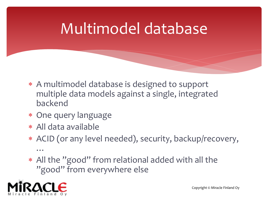## Multimodel database

- A multimodel database is designed to support multiple data models against a single, integrated backend
- \* One query language
- All data available
- ACID (or any level needed), security, backup/recovery, …
- All the "good" from relational added with all the "good" from everywhere else

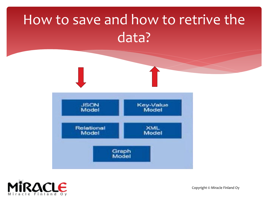#### How to save and how to retrive the data?





Copyright © Miracle Finland Oy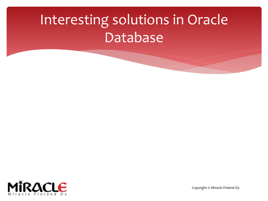## Interesting solutions in Oracle Database



Copyright © Miracle Finland Oy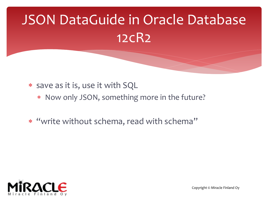# JSON DataGuide in Oracle Database 12cR2

- \* save as it is, use it with SQL
	- Now only JSON, something more in the future?
- "write without schema, read with schema"

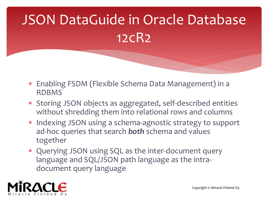# JSON DataGuide in Oracle Database 12cR2

- Enabling FSDM (Flexible Schema Data Management) in a RDBMS
- Storing JSON objects as aggregated, self-described entities without shredding them into relational rows and columns
- \* Indexing JSON using a schema-agnostic strategy to support ad-hoc queries that search *both* schema and values together
- Querying JSON using SQL as the inter-document query language and SQL/JSON path language as the intradocument query language

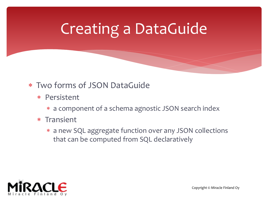# Creating a DataGuide

#### Two forms of JSON DataGuide

- Persistent
	- a component of a schema agnostic JSON search index
- \* Transient
	- a new SQL aggregate function over any JSON collections that can be computed from SQL declaratively

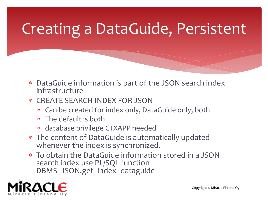# Creating a DataGuide, Persistent

- DataGuide information is part of the JSON search index infrastructure
- CREATE SEARCH INDEX FOR JSON
	- Can be created for index only, DataGuide only, both
	- The default is both
	- database privilege CTXAPP needed
- The content of DataGuide is automatically updated whenever the index is synchronized.
- To obtain the DataGuide information stored in a JSON search index use PL/SQL function DBMS JSON.get index dataguide

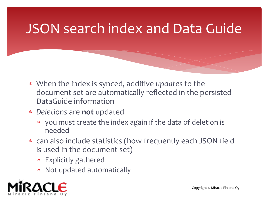#### JSON search index and Data Guide

- When the index is synced, additive *updates* to the document set are automatically reflected in the persisted DataGuide information
- *Deletions* are **not** updated
	- you must create the index again if the data of deletion is needed
- can also include statistics (how frequently each JSON field is used in the document set)
	- Explicitly gathered
	- Not updated automatically

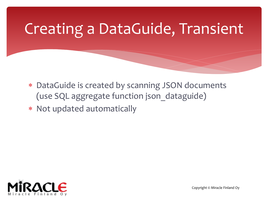# Creating a DataGuide, Transient

- DataGuide is created by scanning JSON documents (use SQL aggregate function json dataguide)
- Not updated automatically

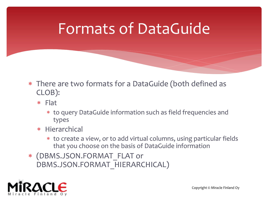#### Formats of DataGuide

- There are two formats for a DataGuide (both defined as CLOB):
	- Flat
		- to query DataGuide information such as field frequencies and types
	- \* Hierarchical
		- to create a view, or to add virtual columns, using particular fields that you choose on the basis of DataGuide information
- (DBMS.JSON.FORMAT\_FLAT or DBMS.JSON.FORMAT\_HIERARCHICAL)

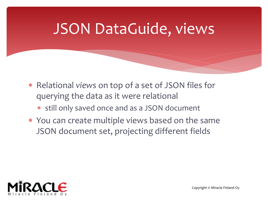#### JSON DataGuide, views

- Relational *views* on top of a set of JSON files for querying the data as it were relational
	- still only saved once and as a JSON document
- You can create multiple views based on the same JSON document set, projecting different fields

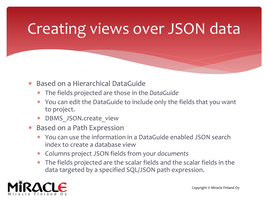# Creating views over JSON data

- Based on a Hierarchical DataGuide
	- The fields projected are those in the *DataGuide*
	- You can edit the DataGuide to include only the fields that you want to project.
	- DBMS JSON.create view
- Based on a Path Expression
	- You can use the information in a DataGuide enabled JSON search index to create a database view
	- Columns project JSON fields from your *documents*
	- The fields projected are the scalar fields and the scalar fields in the data targeted by a specified SQL/JSON path expression.



Copyright © Miracle Finland Oy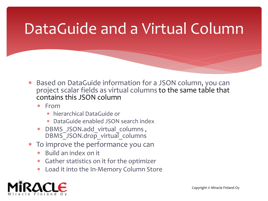## DataGuide and a Virtual Column

- Based on DataGuide information for a JSON column, you can project scalar fields as virtual columns to the same table that contains this JSON column
	- From
		- hierarchical DataGuide or
		- DataGuide enabled JSON search index
	- \* DBMS JSON.add virtual columns, DBMS<sup>-JSON.drop virtual\_columns</sup>
- To improve the performance you can
	- Build an index on it
	- Gather statistics on it for the optimizer
	- Load it into the In-Memory Column Store

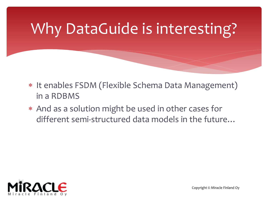# Why DataGuide is interesting?

- \* It enables FSDM (Flexible Schema Data Management) in a RDBMS
- And as a solution might be used in other cases for different semi-structured data models in the future…

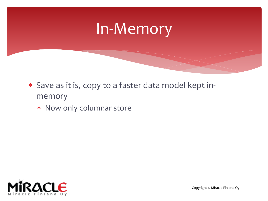#### In-Memory

- Save as it is, copy to a faster data model kept inmemory
	- Now only columnar store

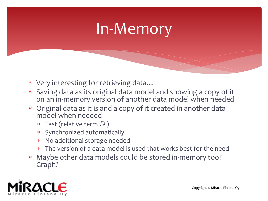#### In-Memory

- Very interesting for retrieving data…
- Saving data as its original data model and showing a copy of it on an in-memory version of another data model when needed
- Original data as it is and a copy of it created in another data model when needed
	- Fast (relative term  $\odot$  )
	- Synchronized automatically
	- No additional storage needed
	- The version of a data model is used that works best for the need
- Maybe other data models could be stored in-memory too? Graph?

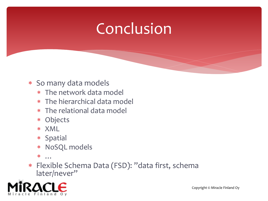- So many data models
	- The network data model
	- The hierarchical data model
	- The relational data model
	- Objects
	- XML
	- \* Spatial
	- NoSQL models
	- $*$  ...
- Flexible Schema Data (FSD): "data first, schema later/never"

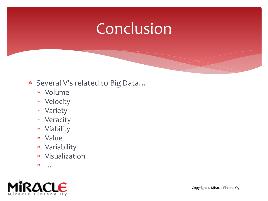#### Several V's related to Big Data…

- Volume
- Velocity
- Variety
- Veracity
- Viability
- Value
- Variability
- Visualization
- …

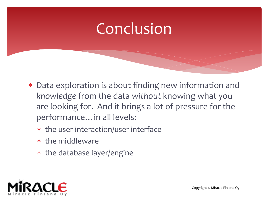- Data exploration is about finding new information and *knowledge* from the data *without* knowing what you are looking for. And it brings a lot of pressure for the performance…in all levels:
	- the user interaction/user interface
	- \* the middleware
	- \* the database layer/engine

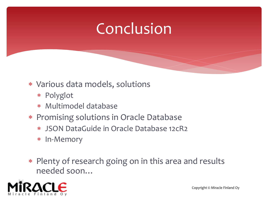- Various data models, solutions
	- Polyglot
	- Multimodel database
- Promising solutions in Oracle Database
	- JSON DataGuide in Oracle Database 12cR2
	- In-Memory
- Plenty of research going on in this area and results needed soon…